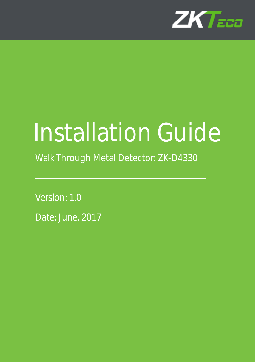

# Installation Guide

Walk Through Metal Detector: ZK-D4330

Version: 1.0 Date: June. 2017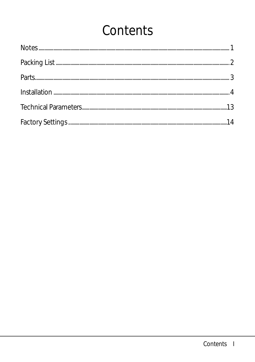# Contents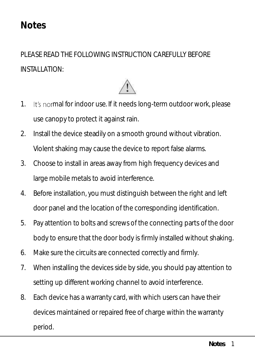#### <span id="page-4-0"></span>**Notes**

PLEASE READ THE FOLLOWING INSTRUCTION CAREFULLY BEFORE INSTALLATION:



- 1. It's normal for indoor use. If it needs long-term outdoor work, please use canopy to protect it against rain.
- 2. Install the device steadily on a smooth ground without vibration. Violent shaking may cause the device to report false alarms.
- 3. Choose to install in areas away from high frequency devices and large mobile metals to avoid interference.
- 4. Before installation, you must distinguish between the right and left door panel and the location of the corresponding identification.
- 5. Pay attention to bolts and screws of the connecting parts of the door body to ensure that the door body is firmly installed without shaking.
- 6. Make sure the circuits are connected correctly and firmly.
- 7. When installing the devices side by side, you should pay attention to setting up different working channel to avoid interference.
- 8. Each device has a warranty card, with which users can have their devices maintained or repaired free of charge within the warranty period.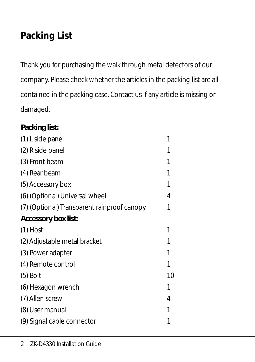### <span id="page-5-0"></span>**Packing List**

Thank you for purchasing the walk through metal detectors of our company. Please check whether the articles in the packing list are all contained in the packing case. Contact us if any article is missing or damaged.

| Packing list:                               |    |
|---------------------------------------------|----|
| (1) L side panel                            | 1  |
| (2) R side panel                            | 1  |
| (3) Front beam                              | 1  |
| (4) Rear beam                               |    |
| (5) Accessory box                           |    |
| (6) (Optional) Universal wheel              | 4  |
| (7) (Optional) Transparent rainproof canopy | 1  |
| Accessory box list:                         |    |
| $(1)$ Host                                  | 1  |
| (2) Adjustable metal bracket                | 1  |
| (3) Power adapter                           | 1  |
| (4) Remote control                          | 1  |
| $(5)$ Bolt                                  | 10 |
| (6) Hexagon wrench                          | 1  |
| (7) Allen screw                             | 4  |
| (8) User manual                             | 1  |
| (9) Signal cable connector                  |    |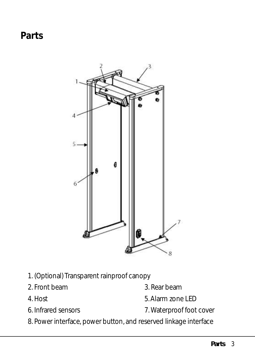<span id="page-6-0"></span>**Parts**



- 1. (Optional) Transparent rainproof canopy
- 2. Front beam 3. Rear beam
- 
- 
- 
- 4. Host 5. Alarm zone LED
- 6. Infrared sensors 7. Waterproof foot cover
- 8. Power interface, power button, and reserved linkage interface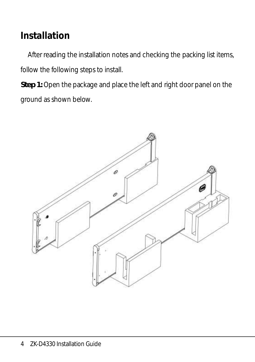### <span id="page-7-0"></span>**Installation**

After reading the installation notes and checking the packing list items, follow the following steps to install.

**Step 1:** Open the package and place the left and right door panel on the ground as shown below.

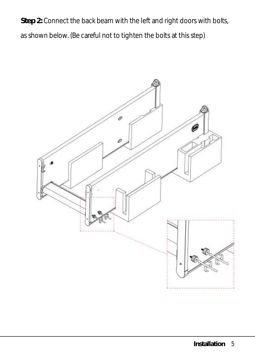**Step 2:** Connect the back beam with the left and right doors with bolts, as shown below. (Be careful not to tighten the bolts at this step)

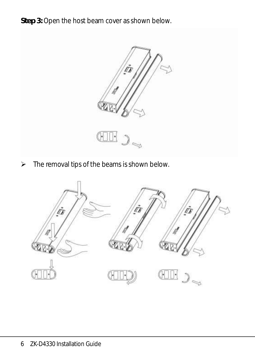**Step 3:** Open the host beam cover as shown below.



 $\triangleright$  The removal tips of the beams is shown below.

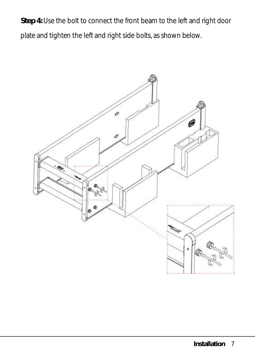**Step 4:** Use the bolt to connect the front beam to the left and right door plate and tighten the left and right side bolts, as shown below.

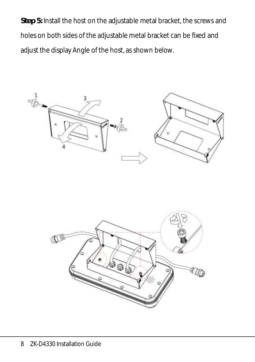**Step 5:** Install the host on the adjustable metal bracket, the screws and holes on both sides of the adjustable metal bracket can be fixed and adjust the display Angle of the host, as shown below.



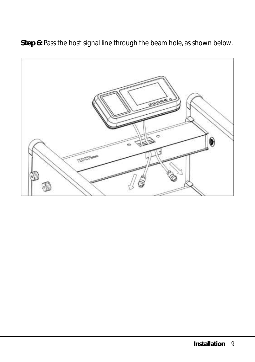**Step 6:** Pass the host signal line through the beam hole, as shown below.

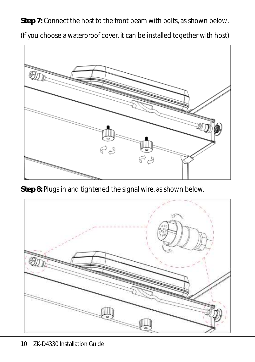**Step 7:** Connect the host to the front beam with bolts, as shown below.

(If you choose a waterproof cover, it can be installed together with host)



**Step 8:** Plugs in and tightened the signal wire, as shown below.

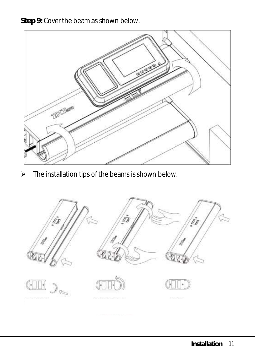**Step 9:** Cover the beam,as shown below.



 $\triangleright$  The installation tips of the beams is shown below.

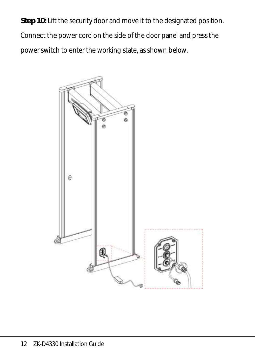**Step 10:** Lift the security door and move it to the designated position. Connect the power cord on the side of the door panel and press the power switch to enter the working state, as shown below.

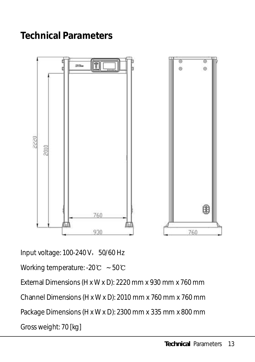#### <span id="page-16-0"></span>**Technical Parameters**



Input voltage: 100-240 V, 50/60 Hz

Working temperature: -20℃ ~ 50℃

External Dimensions (H x W x D): 2220 mm x 930 mm x 760 mm

Channel Dimensions (H x W x D): 2010 mm x 760 mm x 760 mm

Package Dimensions (H x W x D): 2300 mm x 335 mm x 800 mm

Gross weight: 70 [kg]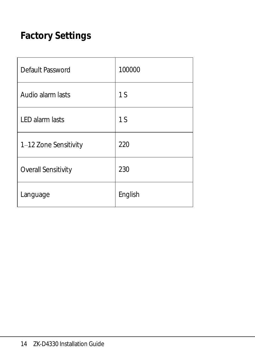## <span id="page-17-0"></span>**Factory Settings**

| Default Password       | 100000  |
|------------------------|---------|
| Audio alarm lasts      | 1S      |
| <b>LED</b> alarm lasts | 1S      |
| 1-12 Zone Sensitivity  | 220     |
| Overall Sensitivity    | 230     |
| Language               | English |